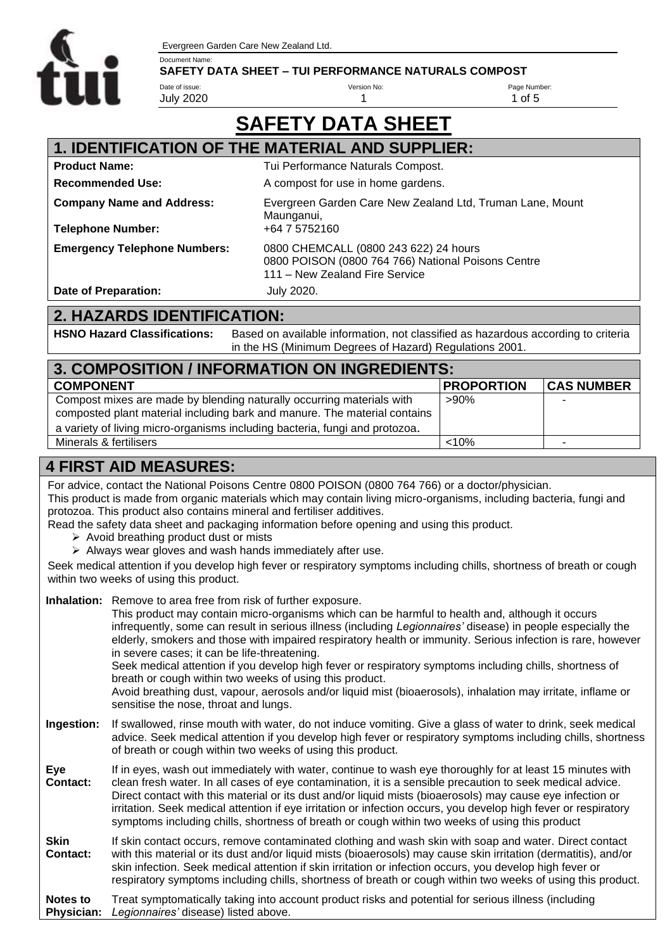Evergreen Garden Care New Zealand Ltd.



#### Document Name: **SAFETY DATA SHEET – TUI PERFORMANCE NATURALS COMPOST**

Date of issue: July 2020 Version No: 1

Page Number: 1 of 5

# **SAFETY DATA SHEET**

| <b>1. IDENTIFICATION OF THE MATERIAL AND SUPPLIER:</b> |                                                                                                                               |  |
|--------------------------------------------------------|-------------------------------------------------------------------------------------------------------------------------------|--|
| <b>Product Name:</b>                                   | Tui Performance Naturals Compost.                                                                                             |  |
| <b>Recommended Use:</b>                                | A compost for use in home gardens.                                                                                            |  |
| <b>Company Name and Address:</b>                       | Evergreen Garden Care New Zealand Ltd, Truman Lane, Mount<br>Maunganui,                                                       |  |
| <b>Telephone Number:</b>                               | +64 7 5752160                                                                                                                 |  |
| <b>Emergency Telephone Numbers:</b>                    | 0800 CHEMCALL (0800 243 622) 24 hours<br>0800 POISON (0800 764 766) National Poisons Centre<br>111 - New Zealand Fire Service |  |
| Date of Preparation:                                   | <b>July 2020.</b>                                                                                                             |  |

### **2. HAZARDS IDENTIFICATION:**

**HSNO Hazard Classifications:** Based on available information, not classified as hazardous according to criteria in the HS (Minimum Degrees of Hazard) Regulations 2001.

| 3. COMPOSITION / INFORMATION ON INGREDIENTS:                                                                                                                                                                                      |                   |                   |
|-----------------------------------------------------------------------------------------------------------------------------------------------------------------------------------------------------------------------------------|-------------------|-------------------|
| <b>COMPONENT</b>                                                                                                                                                                                                                  | <b>PROPORTION</b> | <b>CAS NUMBER</b> |
| Compost mixes are made by blending naturally occurring materials with<br>composted plant material including bark and manure. The material contains<br>a variety of living micro-organisms including bacteria, fungi and protozoa. | $>90\%$           |                   |
| Minerals & fertilisers                                                                                                                                                                                                            | < 10%             |                   |

### **4 FIRST AID MEASURES:**

For advice, contact the National Poisons Centre 0800 POISON (0800 764 766) or a doctor/physician.

This product is made from organic materials which may contain living micro-organisms, including bacteria, fungi and protozoa. This product also contains mineral and fertiliser additives.

Read the safety data sheet and packaging information before opening and using this product.

- ➢ Avoid breathing product dust or mists
- ➢ Always wear gloves and wash hands immediately after use.

Seek medical attention if you develop high fever or respiratory symptoms including chills, shortness of breath or cough within two weeks of using this product.

**Inhalation:** Remove to area free from risk of further exposure.

This product may contain micro-organisms which can be harmful to health and, although it occurs infrequently, some can result in serious illness (including *Legionnaires'* disease) in people especially the elderly, smokers and those with impaired respiratory health or immunity. Serious infection is rare, however in severe cases; it can be life-threatening. Seek medical attention if you develop high fever or respiratory symptoms including chills, shortness of breath or cough within two weeks of using this product. Avoid breathing dust, vapour, aerosols and/or liquid mist (bioaerosols), inhalation may irritate, inflame or sensitise the nose, throat and lungs.

- **Ingestion:** If swallowed, rinse mouth with water, do not induce vomiting. Give a glass of water to drink, seek medical advice. Seek medical attention if you develop high fever or respiratory symptoms including chills, shortness of breath or cough within two weeks of using this product.
- **Eye Contact:** If in eyes, wash out immediately with water, continue to wash eye thoroughly for at least 15 minutes with clean fresh water. In all cases of eye contamination, it is a sensible precaution to seek medical advice. Direct contact with this material or its dust and/or liquid mists (bioaerosols) may cause eye infection or irritation. Seek medical attention if eye irritation or infection occurs, you develop high fever or respiratory symptoms including chills, shortness of breath or cough within two weeks of using this product
- **Skin Contact:** If skin contact occurs, remove contaminated clothing and wash skin with soap and water. Direct contact with this material or its dust and/or liquid mists (bioaerosols) may cause skin irritation (dermatitis), and/or skin infection. Seek medical attention if skin irritation or infection occurs, you develop high fever or respiratory symptoms including chills, shortness of breath or cough within two weeks of using this product.

**Notes to Physician:** Treat symptomatically taking into account product risks and potential for serious illness (including *Legionnaires'* disease) listed above.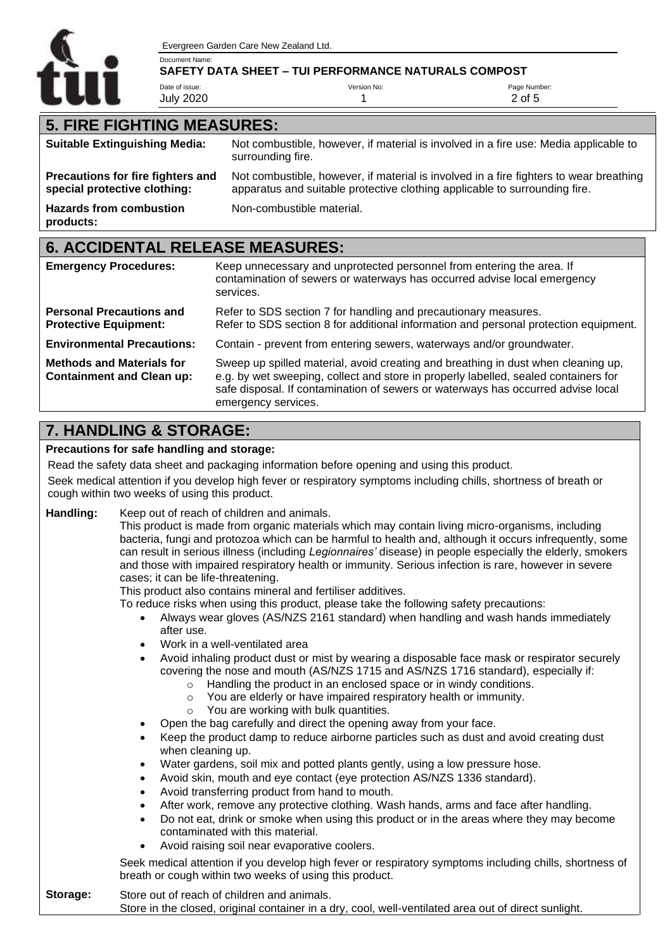

Evergreen Garden Care New Zealand Ltd.

#### Document Name: **SAFETY DATA SHEET – TUI PERFORMANCE NATURALS COMPOST**

Date of issue: July 2020 Version No: 1 Page Number: 2 of 5

### **5. FIRE FIGHTING MEASURES:**

| <b>Suitable Extinguishing Media:</b>                                                              | Not combustible, however, if material is involved in a fire use: Media applicable to<br>surrounding fire.                                                            |  |
|---------------------------------------------------------------------------------------------------|----------------------------------------------------------------------------------------------------------------------------------------------------------------------|--|
| Precautions for fire fighters and<br>special protective clothing:                                 | Not combustible, however, if material is involved in a fire fighters to wear breathing<br>apparatus and suitable protective clothing applicable to surrounding fire. |  |
| <b>Hazards from combustion</b><br>products:                                                       | Non-combustible material.                                                                                                                                            |  |
| <b>6. ACCIDENTAL RELEASE MEASURES:</b>                                                            |                                                                                                                                                                      |  |
| <b>Emergency Procedures:</b>                                                                      | Keep unnecessary and unprotected personnel from entering the area. If<br>contamination of sewers or waterways has occurred advise local emergency<br>services.       |  |
| Refer to SDS section 7 for handling and precautionary measures<br><b>Personal Precautions and</b> |                                                                                                                                                                      |  |

**Protective Equipment: Environmental Precautions: Methods and Materials for Containment and Clean up:** Refer to SDS section 7 for handling and precautionary measures. Refer to SDS section 8 for additional information and personal protection equipment. Contain - prevent from entering sewers, waterways and/or groundwater. Sweep up spilled material, avoid creating and breathing in dust when cleaning up, e.g. by wet sweeping, collect and store in properly labelled, sealed containers for

### **7. HANDLING & STORAGE:**

#### **Precautions for safe handling and storage:**

Read the safety data sheet and packaging information before opening and using this product.

emergency services.

Seek medical attention if you develop high fever or respiratory symptoms including chills, shortness of breath or cough within two weeks of using this product.

#### **Handling:** Keep out of reach of children and animals.

This product is made from organic materials which may contain living micro-organisms, including bacteria, fungi and protozoa which can be harmful to health and, although it occurs infrequently, some can result in serious illness (including *Legionnaires'* disease) in people especially the elderly, smokers and those with impaired respiratory health or immunity. Serious infection is rare, however in severe cases; it can be life-threatening.

safe disposal. If contamination of sewers or waterways has occurred advise local

This product also contains mineral and fertiliser additives.

To reduce risks when using this product, please take the following safety precautions:

- Always wear gloves (AS/NZS 2161 standard) when handling and wash hands immediately after use.
- Work in a well-ventilated area
- Avoid inhaling product dust or mist by wearing a disposable face mask or respirator securely covering the nose and mouth (AS/NZS 1715 and AS/NZS 1716 standard), especially if:
	- o Handling the product in an enclosed space or in windy conditions.
	- o You are elderly or have impaired respiratory health or immunity.
	- o You are working with bulk quantities.
	- Open the bag carefully and direct the opening away from your face.
- Keep the product damp to reduce airborne particles such as dust and avoid creating dust when cleaning up.
- Water gardens, soil mix and potted plants gently, using a low pressure hose.
- Avoid skin, mouth and eye contact (eye protection AS/NZS 1336 standard).
- Avoid transferring product from hand to mouth.
- After work, remove any protective clothing. Wash hands, arms and face after handling.
- Do not eat, drink or smoke when using this product or in the areas where they may become contaminated with this material.
- Avoid raising soil near evaporative coolers.

Seek medical attention if you develop high fever or respiratory symptoms including chills, shortness of breath or cough within two weeks of using this product.

#### **Storage:** Store out of reach of children and animals. Store in the closed, original container in a dry, cool, well-ventilated area out of direct sunlight.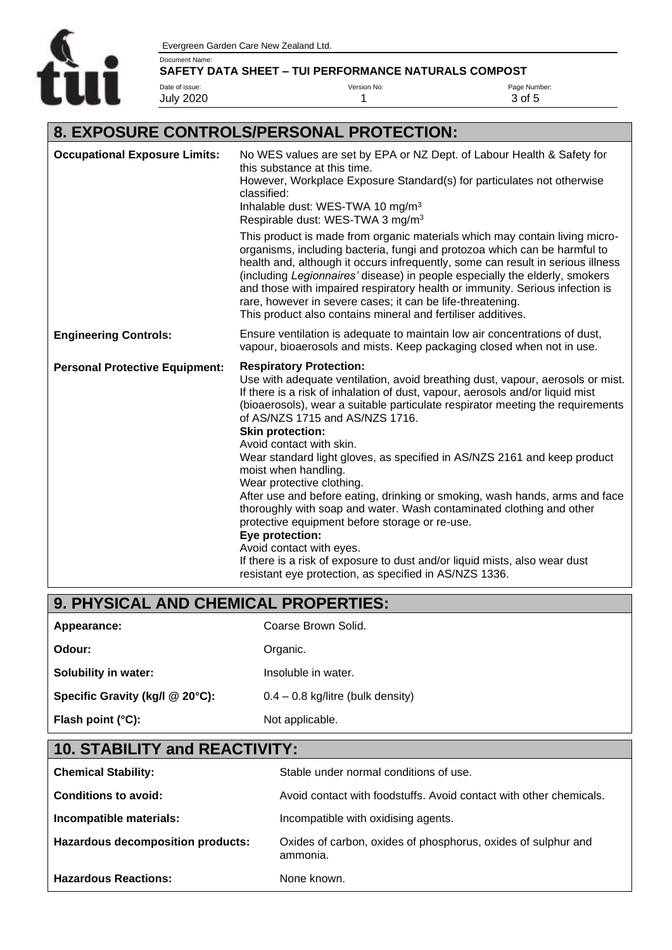

#### Document Name: **SAFETY DATA SHEET – TUI PERFORMANCE NATURALS COMPOST**

Date of issue: July 2020 Version No: 1

Page Number: 3 of 5

## **8. EXPOSURE CONTROLS/PERSONAL PROTECTION:**

| <b>Occupational Exposure Limits:</b>  | No WES values are set by EPA or NZ Dept. of Labour Health & Safety for<br>this substance at this time.<br>However, Workplace Exposure Standard(s) for particulates not otherwise<br>classified:<br>Inhalable dust: WES-TWA 10 mg/m <sup>3</sup><br>Respirable dust: WES-TWA 3 mg/m <sup>3</sup>                                                                                                                                                                                                                                                                                                                                                                                                                                                                                                                                                                                                                |
|---------------------------------------|----------------------------------------------------------------------------------------------------------------------------------------------------------------------------------------------------------------------------------------------------------------------------------------------------------------------------------------------------------------------------------------------------------------------------------------------------------------------------------------------------------------------------------------------------------------------------------------------------------------------------------------------------------------------------------------------------------------------------------------------------------------------------------------------------------------------------------------------------------------------------------------------------------------|
|                                       | This product is made from organic materials which may contain living micro-<br>organisms, including bacteria, fungi and protozoa which can be harmful to<br>health and, although it occurs infrequently, some can result in serious illness<br>(including Legionnaires' disease) in people especially the elderly, smokers<br>and those with impaired respiratory health or immunity. Serious infection is<br>rare, however in severe cases; it can be life-threatening.<br>This product also contains mineral and fertiliser additives.                                                                                                                                                                                                                                                                                                                                                                       |
| <b>Engineering Controls:</b>          | Ensure ventilation is adequate to maintain low air concentrations of dust,<br>vapour, bioaerosols and mists. Keep packaging closed when not in use.                                                                                                                                                                                                                                                                                                                                                                                                                                                                                                                                                                                                                                                                                                                                                            |
| <b>Personal Protective Equipment:</b> | <b>Respiratory Protection:</b><br>Use with adequate ventilation, avoid breathing dust, vapour, aerosols or mist.<br>If there is a risk of inhalation of dust, vapour, aerosols and/or liquid mist<br>(bioaerosols), wear a suitable particulate respirator meeting the requirements<br>of AS/NZS 1715 and AS/NZS 1716.<br><b>Skin protection:</b><br>Avoid contact with skin.<br>Wear standard light gloves, as specified in AS/NZS 2161 and keep product<br>moist when handling.<br>Wear protective clothing.<br>After use and before eating, drinking or smoking, wash hands, arms and face<br>thoroughly with soap and water. Wash contaminated clothing and other<br>protective equipment before storage or re-use.<br>Eye protection:<br>Avoid contact with eyes.<br>If there is a risk of exposure to dust and/or liquid mists, also wear dust<br>resistant eye protection, as specified in AS/NZS 1336. |

# **9. PHYSICAL AND CHEMICAL PROPERTIES:**

| Appearance:                     | Coarse Brown Solid.                 |
|---------------------------------|-------------------------------------|
| Odour:                          | Organic.                            |
| <b>Solubility in water:</b>     | Insoluble in water.                 |
| Specific Gravity (kg/l @ 20°C): | $0.4 - 0.8$ kg/litre (bulk density) |
| Flash point (°C):               | Not applicable.                     |
|                                 |                                     |

# **10. STABILITY and REACTIVITY:**

| <b>Chemical Stability:</b>        | Stable under normal conditions of use.                                    |
|-----------------------------------|---------------------------------------------------------------------------|
| <b>Conditions to avoid:</b>       | Avoid contact with foodstuffs. Avoid contact with other chemicals.        |
| Incompatible materials:           | Incompatible with oxidising agents.                                       |
| Hazardous decomposition products: | Oxides of carbon, oxides of phosphorus, oxides of sulphur and<br>ammonia. |
| <b>Hazardous Reactions:</b>       | None known.                                                               |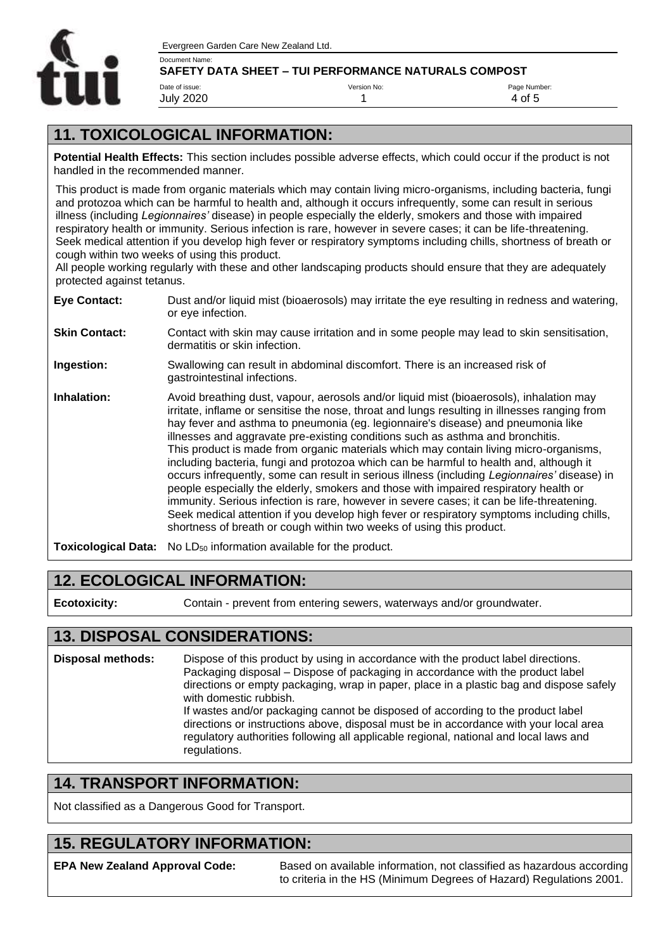

#### Document Name: **SAFETY DATA SHEET – TUI PERFORMANCE NATURALS COMPOST**

Date of issue: July 2020 Version No: 1 Page Number: 4 of 5

### **11. TOXICOLOGICAL INFORMATION:**

**Potential Health Effects:** This section includes possible adverse effects, which could occur if the product is not handled in the recommended manner.

This product is made from organic materials which may contain living micro-organisms, including bacteria, fungi and protozoa which can be harmful to health and, although it occurs infrequently, some can result in serious illness (including *Legionnaires'* disease) in people especially the elderly, smokers and those with impaired respiratory health or immunity. Serious infection is rare, however in severe cases; it can be life-threatening. Seek medical attention if you develop high fever or respiratory symptoms including chills, shortness of breath or cough within two weeks of using this product.

All people working regularly with these and other landscaping products should ensure that they are adequately protected against tetanus.

| <b>Eye Contact:</b>  | Dust and/or liquid mist (bioaerosols) may irritate the eye resulting in redness and watering,<br>or eye infection.                                                                                                                                                                                                                                                                                                                                                                                                                                                                                                                                                                                                                                                                                                                                                                                                                                                                                           |
|----------------------|--------------------------------------------------------------------------------------------------------------------------------------------------------------------------------------------------------------------------------------------------------------------------------------------------------------------------------------------------------------------------------------------------------------------------------------------------------------------------------------------------------------------------------------------------------------------------------------------------------------------------------------------------------------------------------------------------------------------------------------------------------------------------------------------------------------------------------------------------------------------------------------------------------------------------------------------------------------------------------------------------------------|
| <b>Skin Contact:</b> | Contact with skin may cause irritation and in some people may lead to skin sensitisation,<br>dermatitis or skin infection.                                                                                                                                                                                                                                                                                                                                                                                                                                                                                                                                                                                                                                                                                                                                                                                                                                                                                   |
| Ingestion:           | Swallowing can result in abdominal discomfort. There is an increased risk of<br>gastrointestinal infections.                                                                                                                                                                                                                                                                                                                                                                                                                                                                                                                                                                                                                                                                                                                                                                                                                                                                                                 |
| Inhalation:          | Avoid breathing dust, vapour, aerosols and/or liquid mist (bioaerosols), inhalation may<br>irritate, inflame or sensitise the nose, throat and lungs resulting in illnesses ranging from<br>hay fever and asthma to pneumonia (eg. legionnaire's disease) and pneumonia like<br>illnesses and aggravate pre-existing conditions such as asthma and bronchitis.<br>This product is made from organic materials which may contain living micro-organisms,<br>including bacteria, fungi and protozoa which can be harmful to health and, although it<br>occurs infrequently, some can result in serious illness (including Legionnaires' disease) in<br>people especially the elderly, smokers and those with impaired respiratory health or<br>immunity. Serious infection is rare, however in severe cases; it can be life-threatening.<br>Seek medical attention if you develop high fever or respiratory symptoms including chills,<br>shortness of breath or cough within two weeks of using this product. |
|                      | <b>Toxicological Data:</b> No LD <sub>50</sub> information available for the product.                                                                                                                                                                                                                                                                                                                                                                                                                                                                                                                                                                                                                                                                                                                                                                                                                                                                                                                        |

#### **12. ECOLOGICAL INFORMATION:**

**Ecotoxicity:** Contain - prevent from entering sewers, waterways and/or groundwater.

#### **13. DISPOSAL CONSIDERATIONS:**

**Disposal methods:** Dispose of this product by using in accordance with the product label directions. Packaging disposal – Dispose of packaging in accordance with the product label directions or empty packaging, wrap in paper, place in a plastic bag and dispose safely with domestic rubbish. If wastes and/or packaging cannot be disposed of according to the product label directions or instructions above, disposal must be in accordance with your local area regulatory authorities following all applicable regional, national and local laws and regulations.

#### **14. TRANSPORT INFORMATION:**

Not classified as a Dangerous Good for Transport.

#### **15. REGULATORY INFORMATION:**

**EPA New Zealand Approval Code:** Based on available information, not classified as hazardous according to criteria in the HS (Minimum Degrees of Hazard) Regulations 2001.